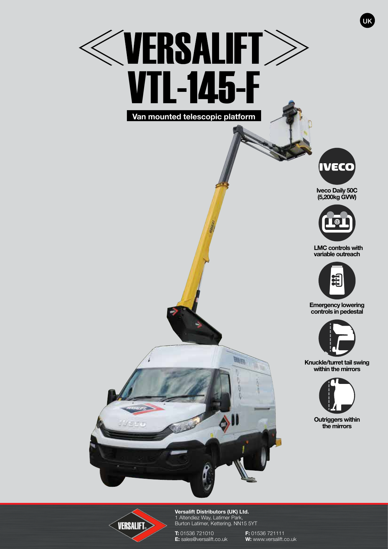## **WERSALIFT** VTL-145-F **Van mounted telescopic platform**



UK

**Iveco Daily 50C (5,200kg GVW)**



 **LMC controls with variable outreach**



**Emergency lowering controls in pedestal**



**Knuckle/turret tail swing within the mirrors**



**Outriggers within the mirrors**



**Versalift Distributors (UK) Ltd.** 1 Altendiez Way, Latimer Park, Burton Latimer, Kettering. NN15 5YT

**WATER** 

**T:** 01536 721010<br> **E:** sales@versalift.co.uk **W:** www.versalift.co

**Caroline Company** 

**W:** www.versalift.co.uk